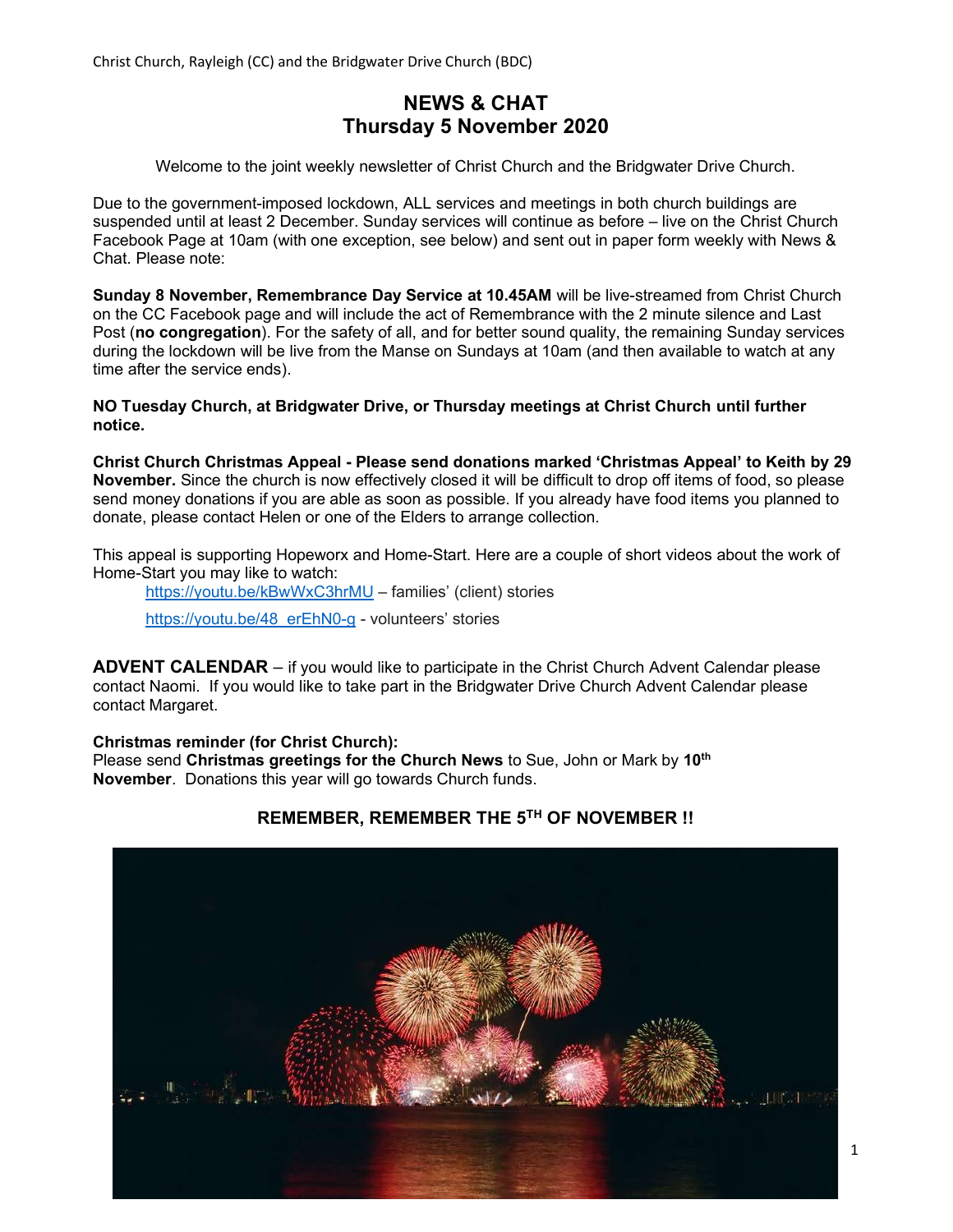# NEWS & CHAT Thursday 5 November 2020

Welcome to the joint weekly newsletter of Christ Church and the Bridgwater Drive Church.

Due to the government-imposed lockdown, ALL services and meetings in both church buildings are suspended until at least 2 December. Sunday services will continue as before – live on the Christ Church Facebook Page at 10am (with one exception, see below) and sent out in paper form weekly with News & Chat. Please note:

Sunday 8 November, Remembrance Day Service at 10.45AM will be live-streamed from Christ Church on the CC Facebook page and will include the act of Remembrance with the 2 minute silence and Last Post (no congregation). For the safety of all, and for better sound quality, the remaining Sunday services during the lockdown will be live from the Manse on Sundays at 10am (and then available to watch at any time after the service ends).

NO Tuesday Church, at Bridgwater Drive, or Thursday meetings at Christ Church until further notice.

Christ Church Christmas Appeal - Please send donations marked 'Christmas Appeal' to Keith by 29 November. Since the church is now effectively closed it will be difficult to drop off items of food, so please send money donations if you are able as soon as possible. If you already have food items you planned to donate, please contact Helen or one of the Elders to arrange collection.

This appeal is supporting Hopeworx and Home-Start. Here are a couple of short videos about the work of Home-Start you may like to watch:

https://youtu.be/kBwWxC3hrMU – families' (client) stories

https://youtu.be/48\_erEhN0-g - volunteers' stories

ADVENT CALENDAR – if you would like to participate in the Christ Church Advent Calendar please contact Naomi. If you would like to take part in the Bridgwater Drive Church Advent Calendar please contact Margaret.

Christmas reminder (for Christ Church):

Please send Christmas greetings for the Church News to Sue, John or Mark by 10<sup>th</sup> November. Donations this year will go towards Church funds.

## REMEMBER, REMEMBER THE 5TH OF NOVEMBER !!

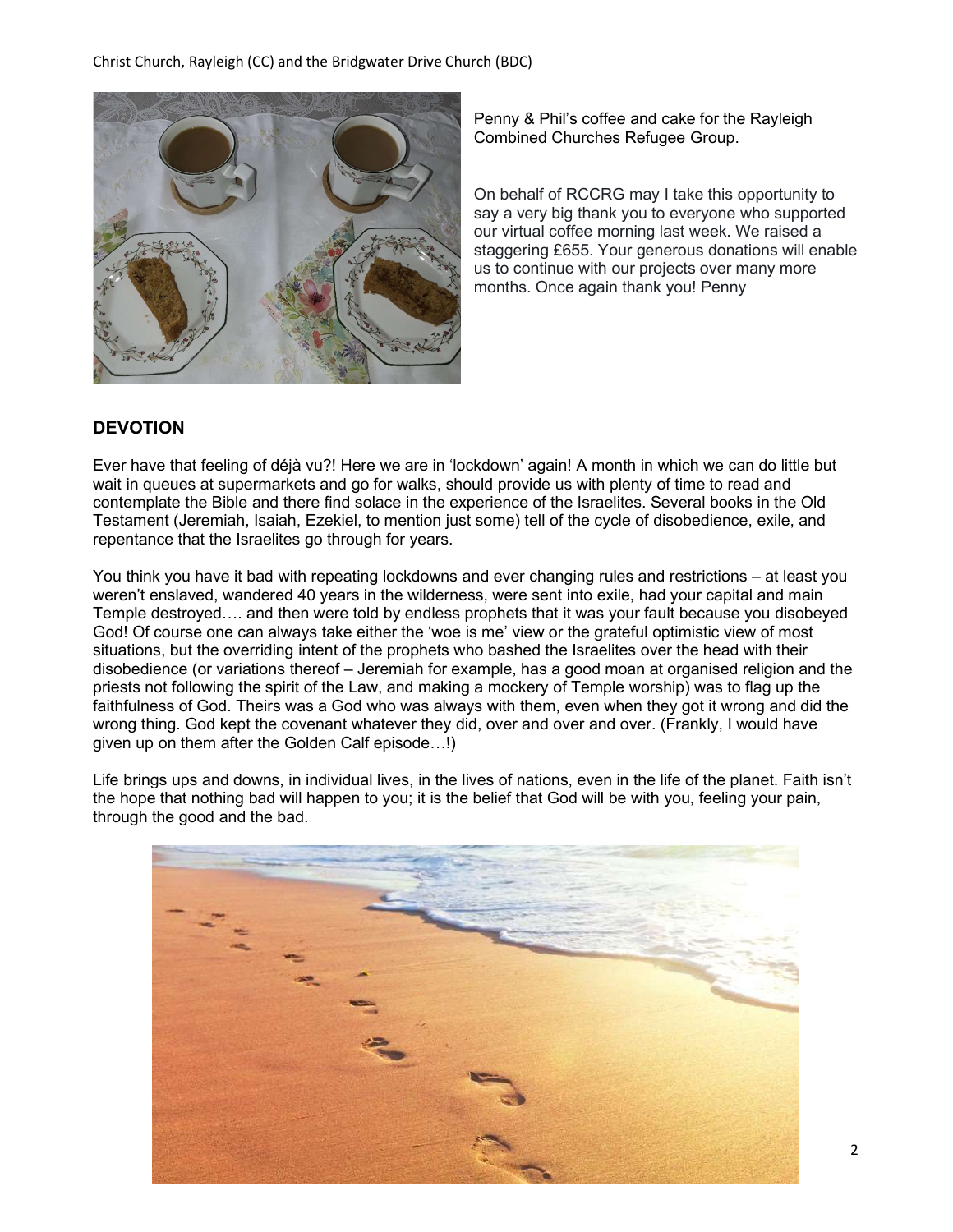

Penny & Phil's coffee and cake for the Rayleigh Combined Churches Refugee Group.

On behalf of RCCRG may I take this opportunity to say a very big thank you to everyone who supported our virtual coffee morning last week. We raised a staggering £655. Your generous donations will enable us to continue with our projects over many more months. Once again thank you! Penny

## DEVOTION

Ever have that feeling of déjà vu?! Here we are in 'lockdown' again! A month in which we can do little but wait in queues at supermarkets and go for walks, should provide us with plenty of time to read and contemplate the Bible and there find solace in the experience of the Israelites. Several books in the Old Testament (Jeremiah, Isaiah, Ezekiel, to mention just some) tell of the cycle of disobedience, exile, and repentance that the Israelites go through for years.

You think you have it bad with repeating lockdowns and ever changing rules and restrictions – at least you weren't enslaved, wandered 40 years in the wilderness, were sent into exile, had your capital and main Temple destroyed…. and then were told by endless prophets that it was your fault because you disobeyed God! Of course one can always take either the 'woe is me' view or the grateful optimistic view of most situations, but the overriding intent of the prophets who bashed the Israelites over the head with their disobedience (or variations thereof – Jeremiah for example, has a good moan at organised religion and the priests not following the spirit of the Law, and making a mockery of Temple worship) was to flag up the faithfulness of God. Theirs was a God who was always with them, even when they got it wrong and did the wrong thing. God kept the covenant whatever they did, over and over and over. (Frankly, I would have given up on them after the Golden Calf episode…!)

Life brings ups and downs, in individual lives, in the lives of nations, even in the life of the planet. Faith isn't the hope that nothing bad will happen to you; it is the belief that God will be with you, feeling your pain, through the good and the bad.

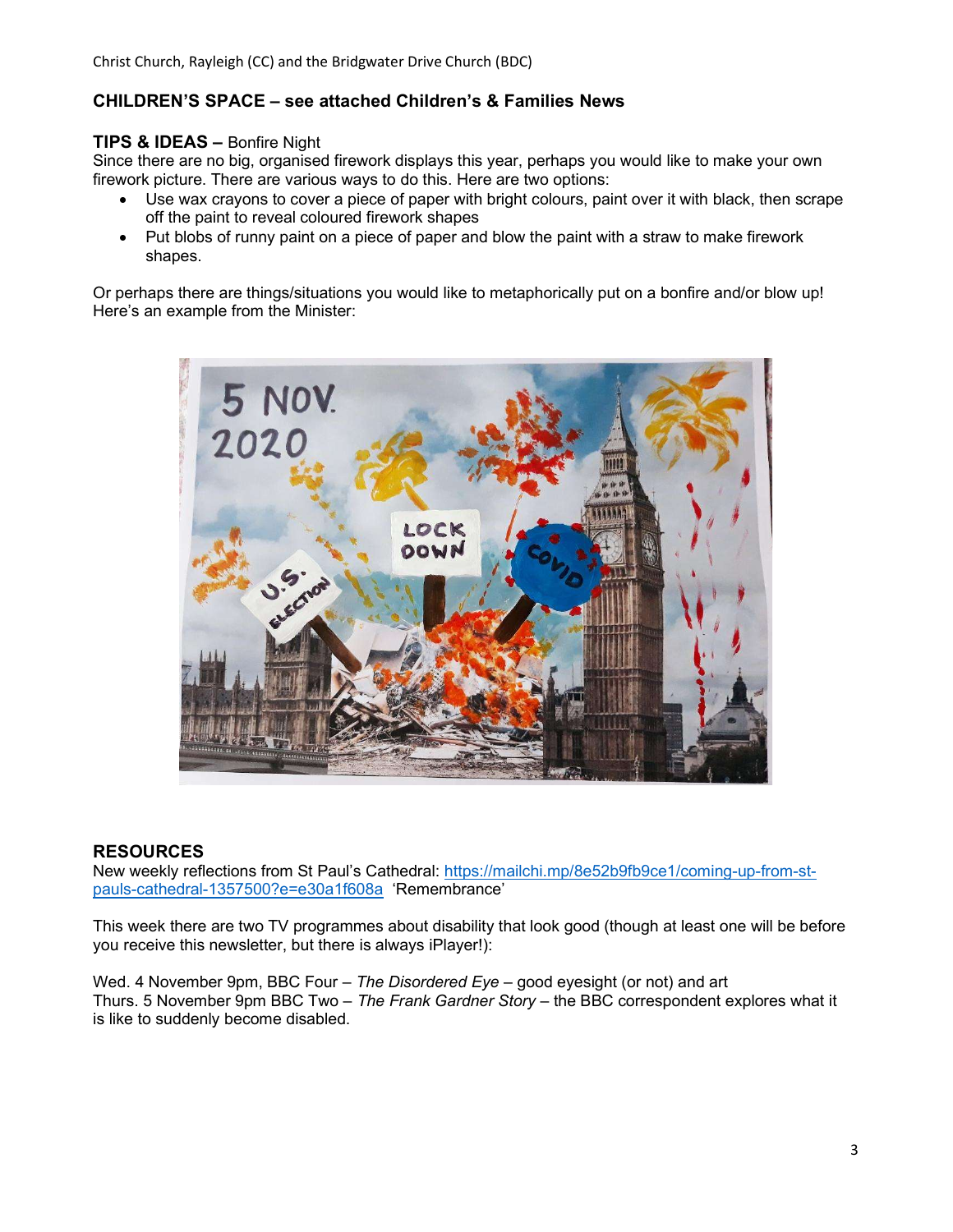#### CHILDREN'S SPACE – see attached Children's & Families News

#### TIPS & IDEAS – Bonfire Night

Since there are no big, organised firework displays this year, perhaps you would like to make your own firework picture. There are various ways to do this. Here are two options:

- Use wax crayons to cover a piece of paper with bright colours, paint over it with black, then scrape off the paint to reveal coloured firework shapes
- Put blobs of runny paint on a piece of paper and blow the paint with a straw to make firework shapes.

Or perhaps there are things/situations you would like to metaphorically put on a bonfire and/or blow up! Here's an example from the Minister:



#### RESOURCES

New weekly reflections from St Paul's Cathedral: https://mailchi.mp/8e52b9fb9ce1/coming-up-from-stpauls-cathedral-1357500?e=e30a1f608a 'Remembrance'

This week there are two TV programmes about disability that look good (though at least one will be before you receive this newsletter, but there is always iPlayer!):

Wed. 4 November 9pm, BBC Four – The Disordered Eye – good eyesight (or not) and art Thurs. 5 November 9pm BBC Two - The Frank Gardner Story - the BBC correspondent explores what it is like to suddenly become disabled.